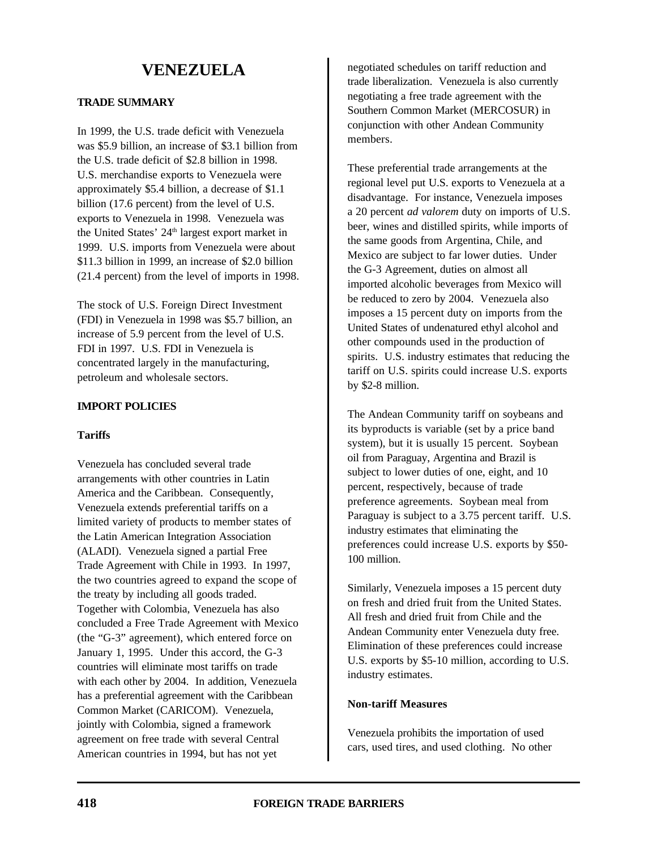## **TRADE SUMMARY**

In 1999, the U.S. trade deficit with Venezuela was \$5.9 billion, an increase of \$3.1 billion from the U.S. trade deficit of \$2.8 billion in 1998. U.S. merchandise exports to Venezuela were approximately \$5.4 billion, a decrease of \$1.1 billion (17.6 percent) from the level of U.S. exports to Venezuela in 1998. Venezuela was the United States'  $24<sup>th</sup>$  largest export market in 1999. U.S. imports from Venezuela were about \$11.3 billion in 1999, an increase of \$2.0 billion (21.4 percent) from the level of imports in 1998.

The stock of U.S. Foreign Direct Investment (FDI) in Venezuela in 1998 was \$5.7 billion, an increase of 5.9 percent from the level of U.S. FDI in 1997. U.S. FDI in Venezuela is concentrated largely in the manufacturing, petroleum and wholesale sectors.

## **IMPORT POLICIES**

#### **Tariffs**

Venezuela has concluded several trade arrangements with other countries in Latin America and the Caribbean. Consequently, Venezuela extends preferential tariffs on a limited variety of products to member states of the Latin American Integration Association (ALADI). Venezuela signed a partial Free Trade Agreement with Chile in 1993. In 1997, the two countries agreed to expand the scope of the treaty by including all goods traded. Together with Colombia, Venezuela has also concluded a Free Trade Agreement with Mexico (the "G-3" agreement), which entered force on January 1, 1995. Under this accord, the G-3 countries will eliminate most tariffs on trade with each other by 2004. In addition, Venezuela has a preferential agreement with the Caribbean Common Market (CARICOM). Venezuela, jointly with Colombia, signed a framework agreement on free trade with several Central American countries in 1994, but has not yet

negotiated schedules on tariff reduction and trade liberalization. Venezuela is also currently negotiating a free trade agreement with the Southern Common Market (MERCOSUR) in conjunction with other Andean Community members.

These preferential trade arrangements at the regional level put U.S. exports to Venezuela at a disadvantage. For instance, Venezuela imposes a 20 percent *ad valorem* duty on imports of U.S. beer, wines and distilled spirits, while imports of the same goods from Argentina, Chile, and Mexico are subject to far lower duties. Under the G-3 Agreement, duties on almost all imported alcoholic beverages from Mexico will be reduced to zero by 2004. Venezuela also imposes a 15 percent duty on imports from the United States of undenatured ethyl alcohol and other compounds used in the production of spirits. U.S. industry estimates that reducing the tariff on U.S. spirits could increase U.S. exports by \$2-8 million.

The Andean Community tariff on soybeans and its byproducts is variable (set by a price band system), but it is usually 15 percent. Soybean oil from Paraguay, Argentina and Brazil is subject to lower duties of one, eight, and 10 percent, respectively, because of trade preference agreements. Soybean meal from Paraguay is subject to a 3.75 percent tariff. U.S. industry estimates that eliminating the preferences could increase U.S. exports by \$50- 100 million.

Similarly, Venezuela imposes a 15 percent duty on fresh and dried fruit from the United States. All fresh and dried fruit from Chile and the Andean Community enter Venezuela duty free. Elimination of these preferences could increase U.S. exports by \$5-10 million, according to U.S. industry estimates.

## **Non-tariff Measures**

Venezuela prohibits the importation of used cars, used tires, and used clothing. No other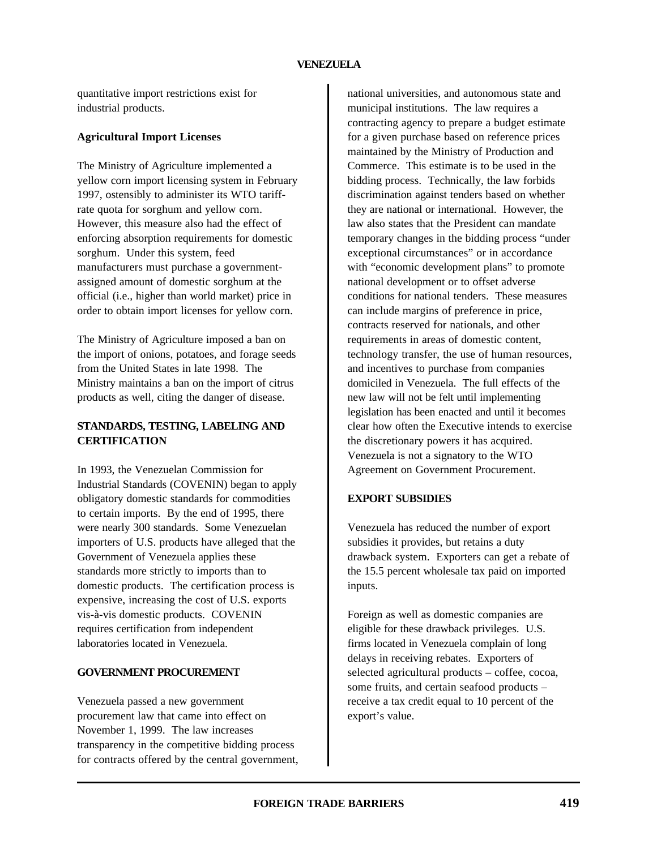quantitative import restrictions exist for industrial products.

## **Agricultural Import Licenses**

The Ministry of Agriculture implemented a yellow corn import licensing system in February 1997, ostensibly to administer its WTO tariffrate quota for sorghum and yellow corn. However, this measure also had the effect of enforcing absorption requirements for domestic sorghum. Under this system, feed manufacturers must purchase a governmentassigned amount of domestic sorghum at the official (i.e., higher than world market) price in order to obtain import licenses for yellow corn.

The Ministry of Agriculture imposed a ban on the import of onions, potatoes, and forage seeds from the United States in late 1998. The Ministry maintains a ban on the import of citrus products as well, citing the danger of disease.

# **STANDARDS, TESTING, LABELING AND CERTIFICATION**

In 1993, the Venezuelan Commission for Industrial Standards (COVENIN) began to apply obligatory domestic standards for commodities to certain imports. By the end of 1995, there were nearly 300 standards. Some Venezuelan importers of U.S. products have alleged that the Government of Venezuela applies these standards more strictly to imports than to domestic products. The certification process is expensive, increasing the cost of U.S. exports vis-à-vis domestic products. COVENIN requires certification from independent laboratories located in Venezuela.

# **GOVERNMENT PROCUREMENT**

Venezuela passed a new government procurement law that came into effect on November 1, 1999. The law increases transparency in the competitive bidding process for contracts offered by the central government, national universities, and autonomous state and municipal institutions. The law requires a contracting agency to prepare a budget estimate for a given purchase based on reference prices maintained by the Ministry of Production and Commerce. This estimate is to be used in the bidding process. Technically, the law forbids discrimination against tenders based on whether they are national or international. However, the law also states that the President can mandate temporary changes in the bidding process "under exceptional circumstances" or in accordance with "economic development plans" to promote national development or to offset adverse conditions for national tenders. These measures can include margins of preference in price, contracts reserved for nationals, and other requirements in areas of domestic content, technology transfer, the use of human resources, and incentives to purchase from companies domiciled in Venezuela. The full effects of the new law will not be felt until implementing legislation has been enacted and until it becomes clear how often the Executive intends to exercise the discretionary powers it has acquired. Venezuela is not a signatory to the WTO Agreement on Government Procurement.

# **EXPORT SUBSIDIES**

Venezuela has reduced the number of export subsidies it provides, but retains a duty drawback system. Exporters can get a rebate of the 15.5 percent wholesale tax paid on imported inputs.

Foreign as well as domestic companies are eligible for these drawback privileges. U.S. firms located in Venezuela complain of long delays in receiving rebates. Exporters of selected agricultural products – coffee, cocoa, some fruits, and certain seafood products – receive a tax credit equal to 10 percent of the export's value.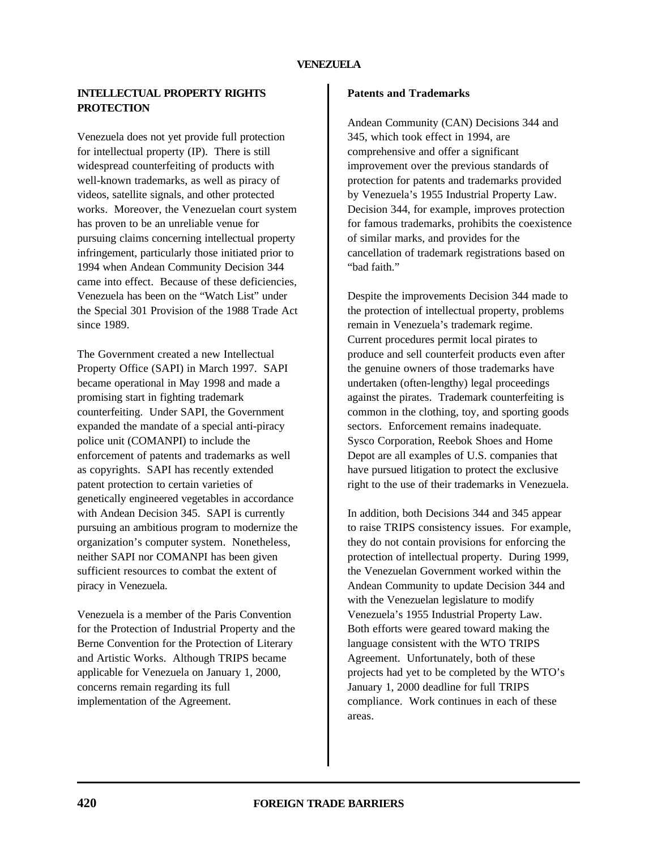# **INTELLECTUAL PROPERTY RIGHTS PROTECTION**

Venezuela does not yet provide full protection for intellectual property (IP). There is still widespread counterfeiting of products with well-known trademarks, as well as piracy of videos, satellite signals, and other protected works. Moreover, the Venezuelan court system has proven to be an unreliable venue for pursuing claims concerning intellectual property infringement, particularly those initiated prior to 1994 when Andean Community Decision 344 came into effect. Because of these deficiencies, Venezuela has been on the "Watch List" under the Special 301 Provision of the 1988 Trade Act since 1989.

The Government created a new Intellectual Property Office (SAPI) in March 1997. SAPI became operational in May 1998 and made a promising start in fighting trademark counterfeiting. Under SAPI, the Government expanded the mandate of a special anti-piracy police unit (COMANPI) to include the enforcement of patents and trademarks as well as copyrights. SAPI has recently extended patent protection to certain varieties of genetically engineered vegetables in accordance with Andean Decision 345. SAPI is currently pursuing an ambitious program to modernize the organization's computer system. Nonetheless, neither SAPI nor COMANPI has been given sufficient resources to combat the extent of piracy in Venezuela.

Venezuela is a member of the Paris Convention for the Protection of Industrial Property and the Berne Convention for the Protection of Literary and Artistic Works. Although TRIPS became applicable for Venezuela on January 1, 2000, concerns remain regarding its full implementation of the Agreement.

### **Patents and Trademarks**

Andean Community (CAN) Decisions 344 and 345, which took effect in 1994, are comprehensive and offer a significant improvement over the previous standards of protection for patents and trademarks provided by Venezuela's 1955 Industrial Property Law. Decision 344, for example, improves protection for famous trademarks, prohibits the coexistence of similar marks, and provides for the cancellation of trademark registrations based on "bad faith."

Despite the improvements Decision 344 made to the protection of intellectual property, problems remain in Venezuela's trademark regime. Current procedures permit local pirates to produce and sell counterfeit products even after the genuine owners of those trademarks have undertaken (often-lengthy) legal proceedings against the pirates. Trademark counterfeiting is common in the clothing, toy, and sporting goods sectors. Enforcement remains inadequate. Sysco Corporation, Reebok Shoes and Home Depot are all examples of U.S. companies that have pursued litigation to protect the exclusive right to the use of their trademarks in Venezuela.

In addition, both Decisions 344 and 345 appear to raise TRIPS consistency issues. For example, they do not contain provisions for enforcing the protection of intellectual property. During 1999, the Venezuelan Government worked within the Andean Community to update Decision 344 and with the Venezuelan legislature to modify Venezuela's 1955 Industrial Property Law. Both efforts were geared toward making the language consistent with the WTO TRIPS Agreement. Unfortunately, both of these projects had yet to be completed by the WTO's January 1, 2000 deadline for full TRIPS compliance. Work continues in each of these areas.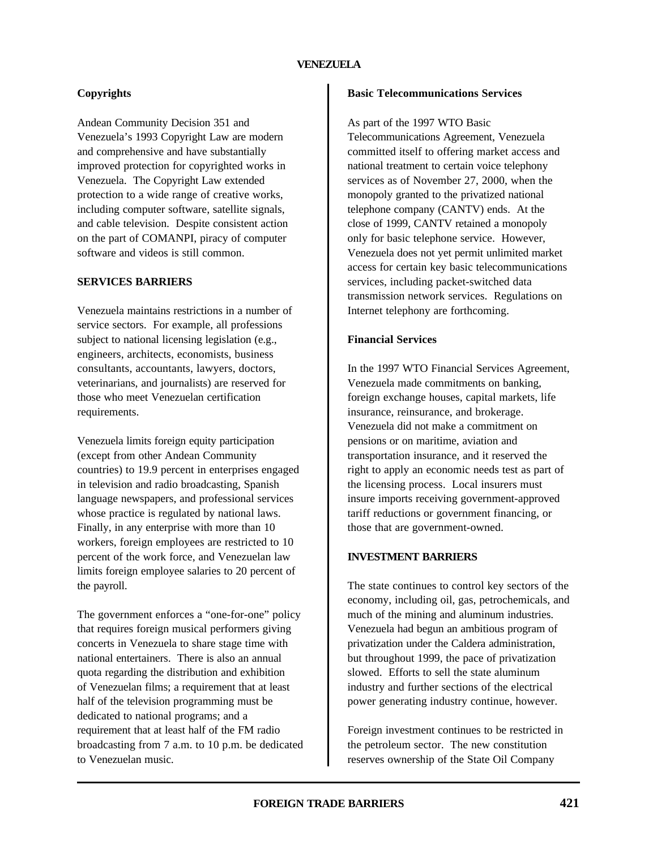# **Copyrights**

Andean Community Decision 351 and Venezuela's 1993 Copyright Law are modern and comprehensive and have substantially improved protection for copyrighted works in Venezuela. The Copyright Law extended protection to a wide range of creative works, including computer software, satellite signals, and cable television. Despite consistent action on the part of COMANPI, piracy of computer software and videos is still common.

#### **SERVICES BARRIERS**

Venezuela maintains restrictions in a number of service sectors. For example, all professions subject to national licensing legislation (e.g., engineers, architects, economists, business consultants, accountants, lawyers, doctors, veterinarians, and journalists) are reserved for those who meet Venezuelan certification requirements.

Venezuela limits foreign equity participation (except from other Andean Community countries) to 19.9 percent in enterprises engaged in television and radio broadcasting, Spanish language newspapers, and professional services whose practice is regulated by national laws. Finally, in any enterprise with more than 10 workers, foreign employees are restricted to 10 percent of the work force, and Venezuelan law limits foreign employee salaries to 20 percent of the payroll.

The government enforces a "one-for-one" policy that requires foreign musical performers giving concerts in Venezuela to share stage time with national entertainers. There is also an annual quota regarding the distribution and exhibition of Venezuelan films; a requirement that at least half of the television programming must be dedicated to national programs; and a requirement that at least half of the FM radio broadcasting from 7 a.m. to 10 p.m. be dedicated to Venezuelan music.

### **Basic Telecommunications Services**

As part of the 1997 WTO Basic

Telecommunications Agreement, Venezuela committed itself to offering market access and national treatment to certain voice telephony services as of November 27, 2000, when the monopoly granted to the privatized national telephone company (CANTV) ends. At the close of 1999, CANTV retained a monopoly only for basic telephone service. However, Venezuela does not yet permit unlimited market access for certain key basic telecommunications services, including packet-switched data transmission network services. Regulations on Internet telephony are forthcoming.

# **Financial Services**

In the 1997 WTO Financial Services Agreement, Venezuela made commitments on banking, foreign exchange houses, capital markets, life insurance, reinsurance, and brokerage. Venezuela did not make a commitment on pensions or on maritime, aviation and transportation insurance, and it reserved the right to apply an economic needs test as part of the licensing process. Local insurers must insure imports receiving government-approved tariff reductions or government financing, or those that are government-owned.

# **INVESTMENT BARRIERS**

The state continues to control key sectors of the economy, including oil, gas, petrochemicals, and much of the mining and aluminum industries. Venezuela had begun an ambitious program of privatization under the Caldera administration, but throughout 1999, the pace of privatization slowed. Efforts to sell the state aluminum industry and further sections of the electrical power generating industry continue, however.

Foreign investment continues to be restricted in the petroleum sector. The new constitution reserves ownership of the State Oil Company